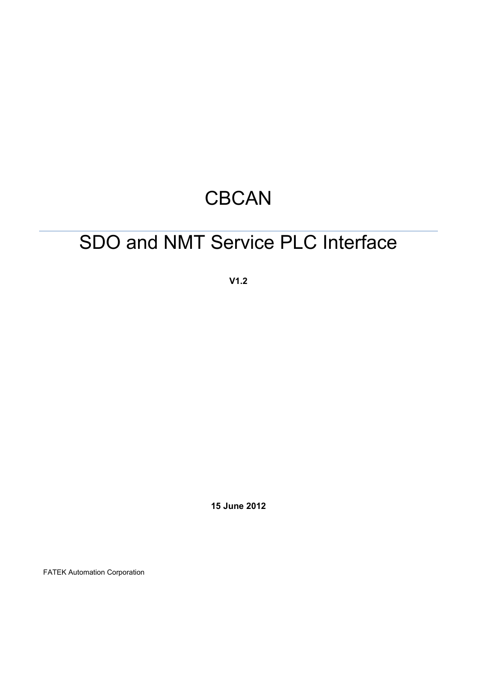# **CBCAN**

# SDO and NMT Service PLC Interface

**V1.2**

**15 June 2012**

FATEK Automation Corporation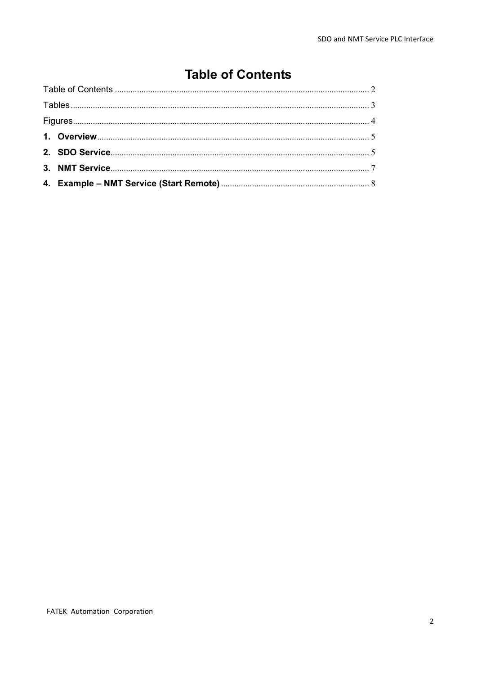# **Table of Contents**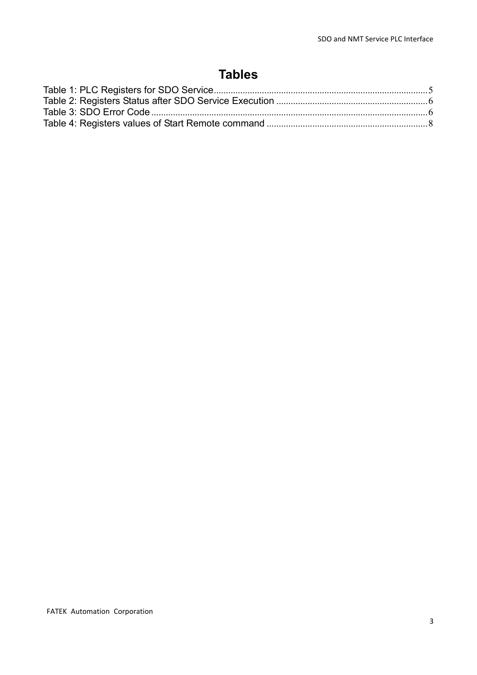# **Tables**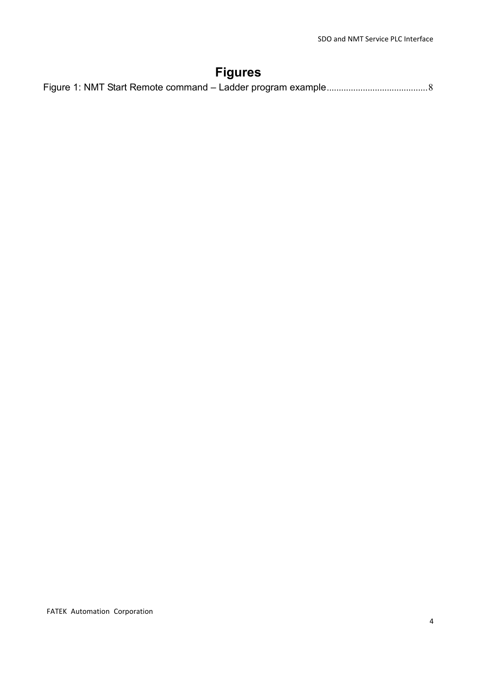# **Figures**

|--|--|--|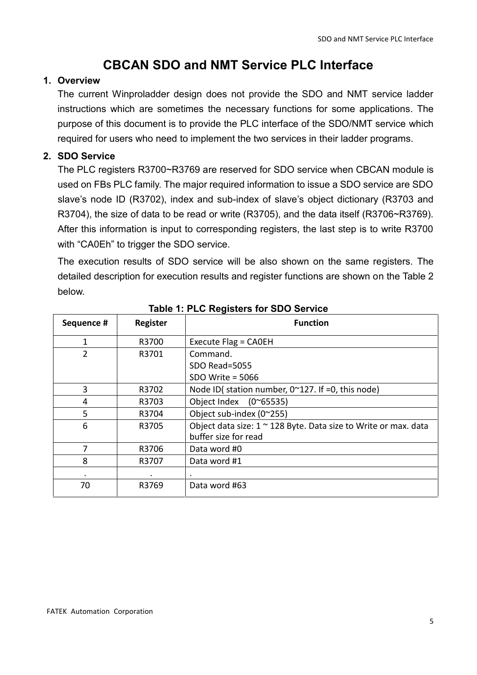# **CBCAN SDO and NMT Service PLC Interface**

#### **1. Overview**

The current Winproladder design does not provide the SDO and NMT service ladder instructions which are sometimes the necessary functions for some applications. The purpose of this document is to provide the PLC interface of the SDO/NMT service which required for users who need to implement the two services in their ladder programs.

## **2. SDO Service**

The PLC registers R3700~R3769 are reserved for SDO service when CBCAN module is used on FBs PLC family. The major required information to issue a SDO service are SDO slave's node ID (R3702), index and sub-index of slave's object dictionary (R3703 and R3704), the size of data to be read or write (R3705), and the data itself (R3706~R3769). After this information is input to corresponding registers, the last step is to write R3700 with "CA0Eh" to trigger the SDO service.

The execution results of SDO service will be also shown on the same registers. The detailed description for execution results and register functions are shown on the Table 2 below.

| Sequence #     | Register | <b>Function</b>                                                                         |
|----------------|----------|-----------------------------------------------------------------------------------------|
|                | R3700    | Execute Flag = CA0EH                                                                    |
| $\overline{2}$ | R3701    | Command.                                                                                |
|                |          | SDO Read=5055                                                                           |
|                |          | SDO Write = $5066$                                                                      |
| 3              | R3702    | Node ID( station number, $0^{\sim}127$ . If =0, this node)                              |
| 4              | R3703    | Object Index<br>$(0^{\circ}65535)$                                                      |
| 5              | R3704    | Object sub-index (0~255)                                                                |
| 6              | R3705    | Object data size: 1 ~ 128 Byte. Data size to Write or max. data<br>buffer size for read |
|                | R3706    | Data word #0                                                                            |
| 8              | R3707    | Data word #1                                                                            |
|                |          | $\cdot$                                                                                 |
| 70             | R3769    | Data word #63                                                                           |

#### **Table 1: PLC Registers for SDO Service**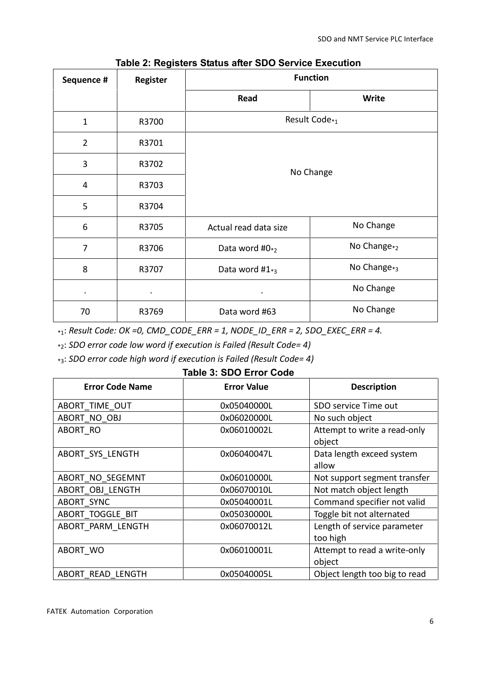| Sequence #     | Register  | <b>Function</b>           |                         |  |
|----------------|-----------|---------------------------|-------------------------|--|
|                |           | Read                      | <b>Write</b>            |  |
| $\mathbf{1}$   | R3700     | Result Code <sub>*1</sub> |                         |  |
| $\overline{2}$ | R3701     | No Change                 |                         |  |
| 3              | R3702     |                           |                         |  |
| 4              | R3703     |                           |                         |  |
| 5              | R3704     |                           |                         |  |
| 6              | R3705     | Actual read data size     | No Change               |  |
| $\overline{7}$ | R3706     | Data word $#0_{*2}$       | No Change <sub>*2</sub> |  |
| 8              | R3707     | Data word $#1*_3$         | No Change <sub>*3</sub> |  |
| $\bullet$      | $\bullet$ | $\bullet$                 | No Change               |  |
| 70             | R3769     | Data word #63             | No Change               |  |

### **Table 2: Registers Status after SDO Service Execution**

 $*_{1}:$  Result Code: OK = 0, CMD\_CODE\_ERR = 1, NODE\_ID\_ERR = 2, SDO\_EXEC\_ERR = 4.

\*2: *SDO error code low word if execution is Failed (Result Code= 4)*

\*3: *SDO error code high word if execution is Failed (Result Code= 4)*

#### **Table 3: SDO Error Code**

| <b>Error Code Name</b> | <b>Error Value</b> | <b>Description</b>                      |
|------------------------|--------------------|-----------------------------------------|
| ABORT TIME OUT         | 0x05040000L        | SDO service Time out                    |
| ABORT NO OBJ           | 0x06020000L        | No such object                          |
| ABORT RO               | 0x06010002L        | Attempt to write a read-only<br>object  |
| ABORT SYS LENGTH       | 0x06040047L        | Data length exceed system<br>allow      |
| ABORT_NO_SEGEMNT       | 0x06010000L        | Not support segment transfer            |
| ABORT OBJ LENGTH       | 0x06070010L        | Not match object length                 |
| ABORT SYNC             | 0x05040001L        | Command specifier not valid             |
| ABORT TOGGLE BIT       | 0x05030000L        | Toggle bit not alternated               |
| ABORT PARM LENGTH      | 0x06070012L        | Length of service parameter<br>too high |
| ABORT WO               | 0x06010001L        | Attempt to read a write-only<br>object  |
| ABORT READ_LENGTH      | 0x05040005L        | Object length too big to read           |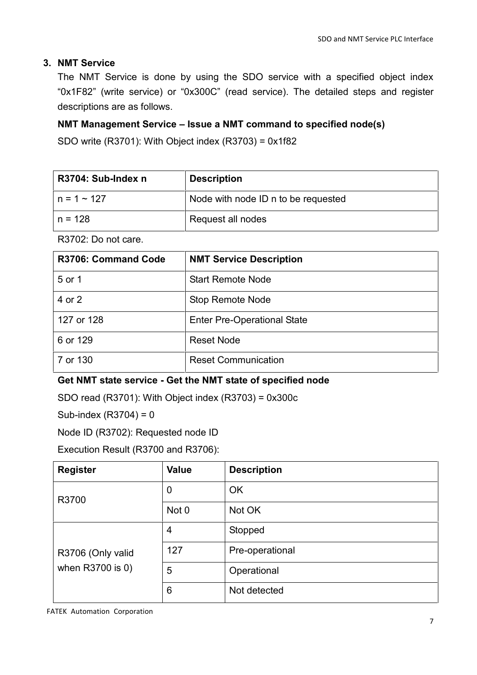## **3. NMT Service**

The NMT Service is done by using the SDO service with a specified object index "0x1F82" (write service) or "0x300C" (read service). The detailed steps and register descriptions are as follows.

## **NMT Management Service – Issue a NMT command to specified node(s)**

SDO write (R3701): With Object index (R3703) = 0x1f82

| R3704: Sub-Index n | <b>Description</b>                  |
|--------------------|-------------------------------------|
| ∣n = 1 ~ 127       | Node with node ID n to be requested |
| n = 128            | Request all nodes                   |

R3702: Do not care.

| <b>R3706: Command Code</b> | <b>NMT Service Description</b>     |
|----------------------------|------------------------------------|
| 5 or 1                     | <b>Start Remote Node</b>           |
| 4 or 2                     | <b>Stop Remote Node</b>            |
| 127 or 128                 | <b>Enter Pre-Operational State</b> |
| 6 or 129                   | <b>Reset Node</b>                  |
| 7 or 130                   | <b>Reset Communication</b>         |

## **Get NMT state service - Get the NMT state of specified node**

SDO read (R3701): With Object index (R3703) = 0x300c

Sub-index (R3704) = 0

Node ID (R3702): Requested node ID

Execution Result (R3700 and R3706):

| <b>Register</b>   | Value       | <b>Description</b> |
|-------------------|-------------|--------------------|
| R3700             | $\mathbf 0$ | <b>OK</b>          |
|                   | Not 0       | Not OK             |
|                   | 4           | Stopped            |
| R3706 (Only valid | 127         | Pre-operational    |
| when R3700 is 0)  | 5           | Operational        |
|                   | 6           | Not detected       |

FATEK Automation Corporation